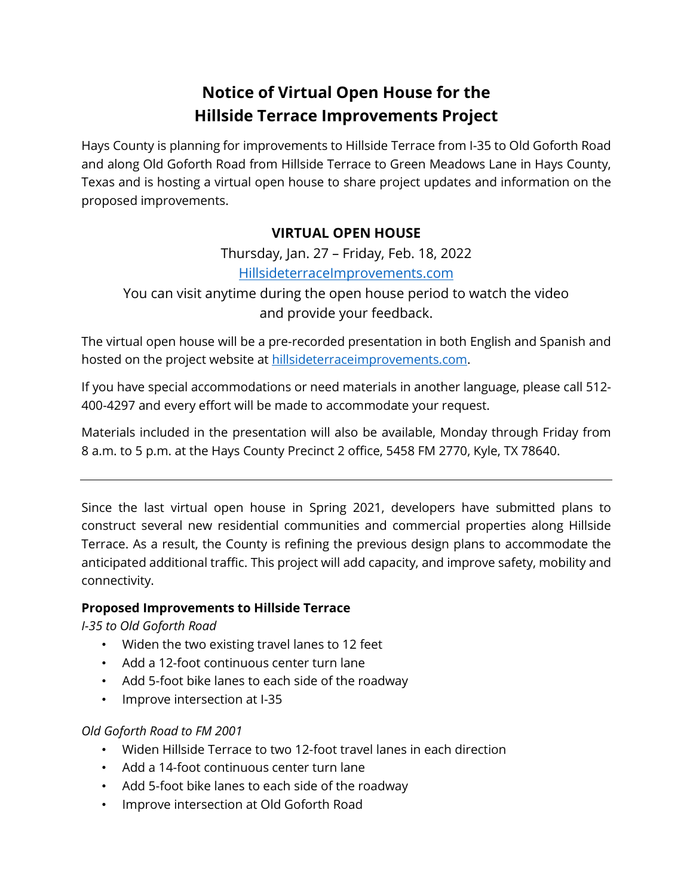# **Notice of Virtual Open House for the Hillside Terrace Improvements Project**

Hays County is planning for improvements to Hillside Terrace from I-35 to Old Goforth Road and along Old Goforth Road from Hillside Terrace to Green Meadows Lane in Hays County, Texas and is hosting a virtual open house to share project updates and information on the proposed improvements.

# **VIRTUAL OPEN HOUSE**

Thursday, Jan. 27 – Friday, Feb. 18, 2022 [HillsideterraceImprovements.com](https://www.hillsideterraceimprovements.com/)

You can visit anytime during the open house period to watch the video and provide your feedback.

The virtual open house will be a pre-recorded presentation in both English and Spanish and hosted on the project website at [hillsideterraceimprovements.com.](https://www.hillsideterraceimprovements.com/)

If you have special accommodations or need materials in another language, please call 512- 400-4297 and every effort will be made to accommodate your request.

Materials included in the presentation will also be available, Monday through Friday from 8 a.m. to 5 p.m. at the Hays County Precinct 2 office, 5458 FM 2770, Kyle, TX 78640.

Since the last virtual open house in Spring 2021, developers have submitted plans to construct several new residential communities and commercial properties along Hillside Terrace. As a result, the County is refining the previous design plans to accommodate the anticipated additional traffic. This project will add capacity, and improve safety, mobility and connectivity.

#### **Proposed Improvements to Hillside Terrace**

*I-35 to Old Goforth Road*

- Widen the two existing travel lanes to 12 feet
- Add a 12-foot continuous center turn lane
- Add 5-foot bike lanes to each side of the roadway
- Improve intersection at I-35

## *Old Goforth Road to FM 2001*

- Widen Hillside Terrace to two 12-foot travel lanes in each direction
- Add a 14-foot continuous center turn lane
- Add 5-foot bike lanes to each side of the roadway
- Improve intersection at Old Goforth Road